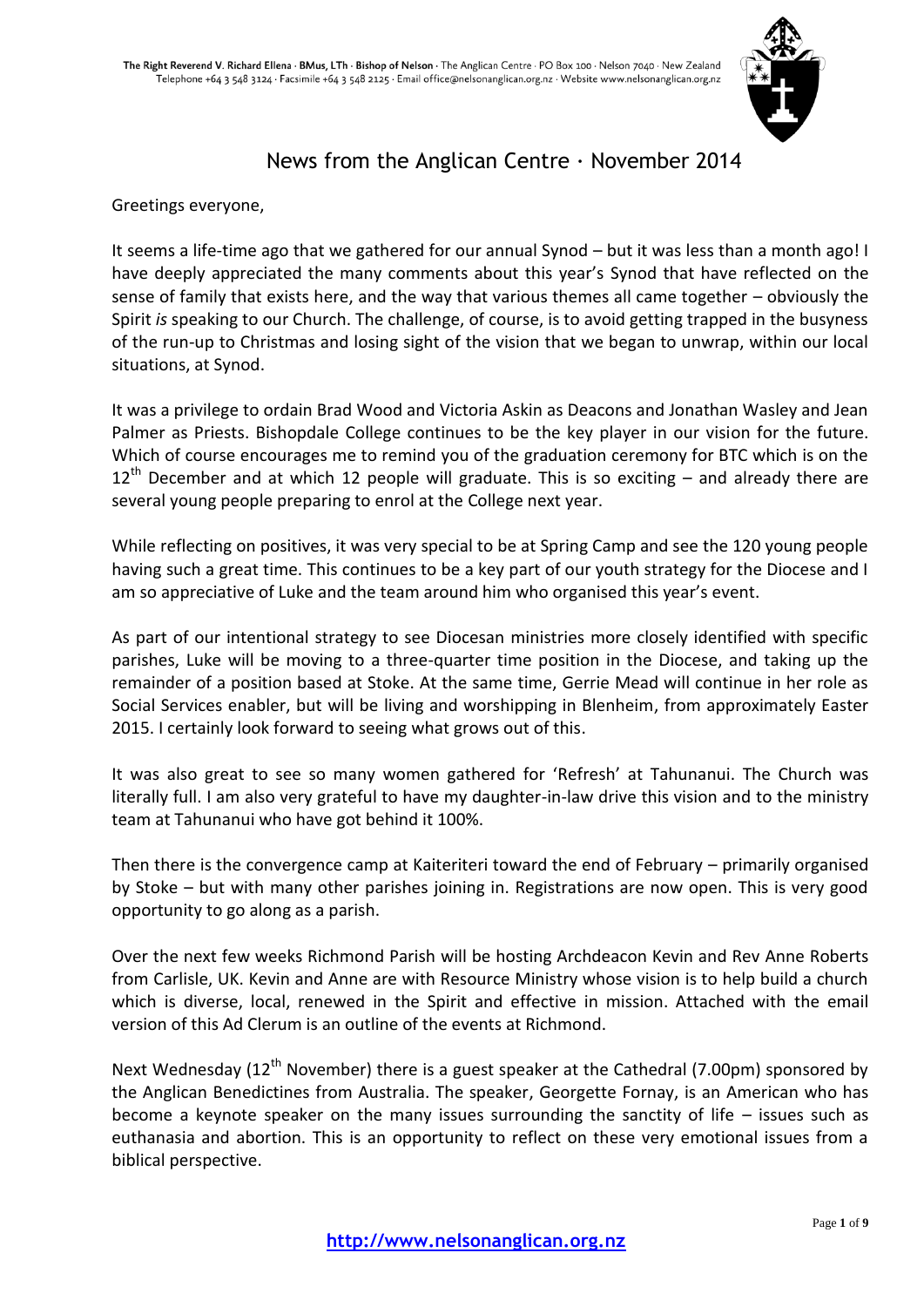

## News from the Anglican Centre · November 2014

Greetings everyone,

It seems a life-time ago that we gathered for our annual Synod – but it was less than a month ago! I have deeply appreciated the many comments about this year's Synod that have reflected on the sense of family that exists here, and the way that various themes all came together – obviously the Spirit *is* speaking to our Church. The challenge, of course, is to avoid getting trapped in the busyness of the run-up to Christmas and losing sight of the vision that we began to unwrap, within our local situations, at Synod.

It was a privilege to ordain Brad Wood and Victoria Askin as Deacons and Jonathan Wasley and Jean Palmer as Priests. Bishopdale College continues to be the key player in our vision for the future. Which of course encourages me to remind you of the graduation ceremony for BTC which is on the  $12<sup>th</sup>$  December and at which 12 people will graduate. This is so exciting – and already there are several young people preparing to enrol at the College next year.

While reflecting on positives, it was very special to be at Spring Camp and see the 120 young people having such a great time. This continues to be a key part of our youth strategy for the Diocese and I am so appreciative of Luke and the team around him who organised this year's event.

As part of our intentional strategy to see Diocesan ministries more closely identified with specific parishes, Luke will be moving to a three-quarter time position in the Diocese, and taking up the remainder of a position based at Stoke. At the same time, Gerrie Mead will continue in her role as Social Services enabler, but will be living and worshipping in Blenheim, from approximately Easter 2015. I certainly look forward to seeing what grows out of this.

It was also great to see so many women gathered for 'Refresh' at Tahunanui. The Church was literally full. I am also very grateful to have my daughter-in-law drive this vision and to the ministry team at Tahunanui who have got behind it 100%.

Then there is the convergence camp at Kaiteriteri toward the end of February – primarily organised by Stoke – but with many other parishes joining in. Registrations are now open. This is very good opportunity to go along as a parish.

Over the next few weeks Richmond Parish will be hosting Archdeacon Kevin and Rev Anne Roberts from Carlisle, UK. Kevin and Anne are with Resource Ministry whose vision is to help build a church which is diverse, local, renewed in the Spirit and effective in mission. Attached with the email version of this Ad Clerum is an outline of the events at Richmond.

Next Wednesday (12<sup>th</sup> November) there is a guest speaker at the Cathedral (7.00pm) sponsored by the Anglican Benedictines from Australia. The speaker, Georgette Fornay, is an American who has become a keynote speaker on the many issues surrounding the sanctity of life – issues such as euthanasia and abortion. This is an opportunity to reflect on these very emotional issues from a biblical perspective.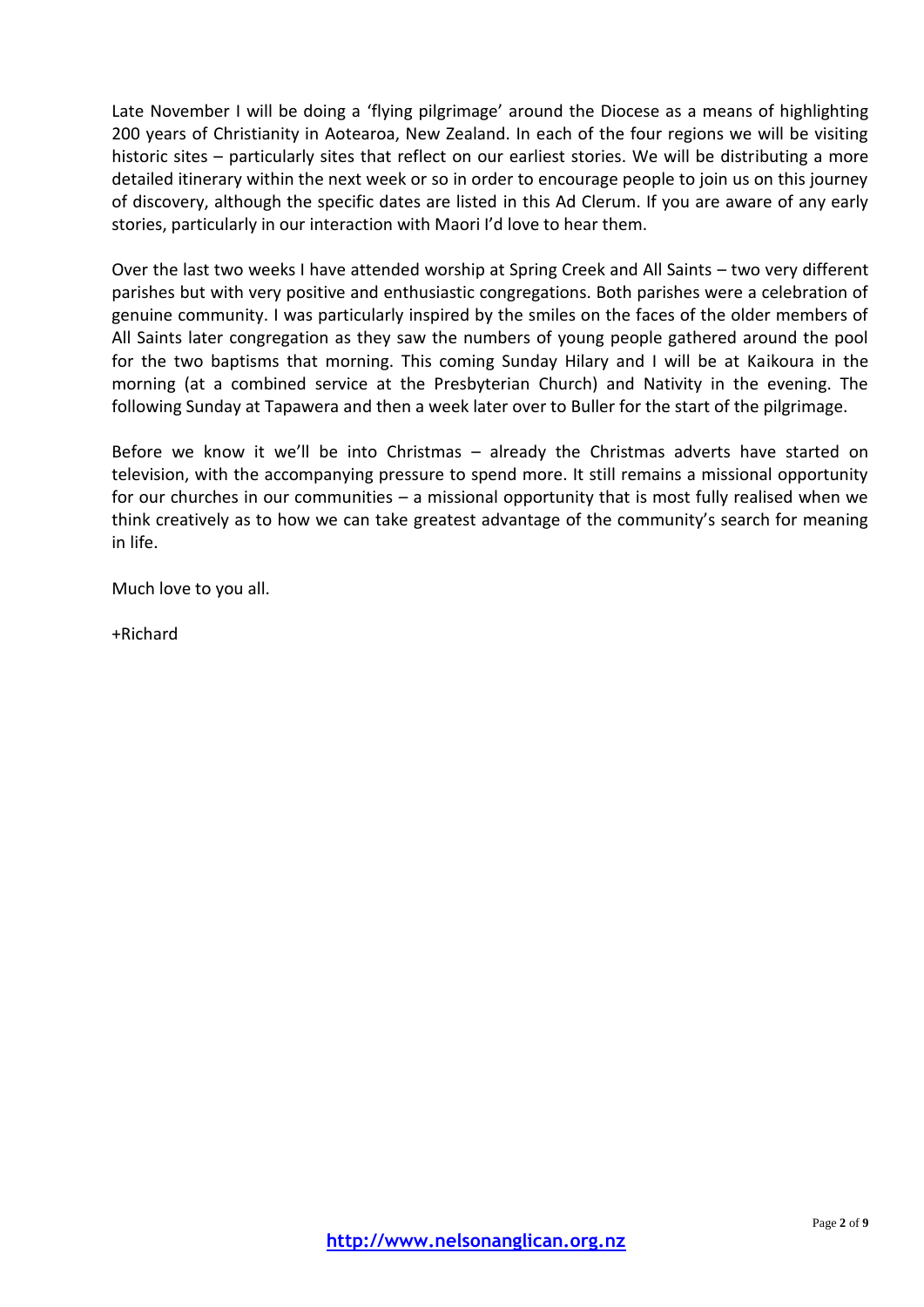Late November I will be doing a 'flying pilgrimage' around the Diocese as a means of highlighting 200 years of Christianity in Aotearoa, New Zealand. In each of the four regions we will be visiting historic sites – particularly sites that reflect on our earliest stories. We will be distributing a more detailed itinerary within the next week or so in order to encourage people to join us on this journey of discovery, although the specific dates are listed in this Ad Clerum. If you are aware of any early stories, particularly in our interaction with Maori I'd love to hear them.

Over the last two weeks I have attended worship at Spring Creek and All Saints – two very different parishes but with very positive and enthusiastic congregations. Both parishes were a celebration of genuine community. I was particularly inspired by the smiles on the faces of the older members of All Saints later congregation as they saw the numbers of young people gathered around the pool for the two baptisms that morning. This coming Sunday Hilary and I will be at Kaikoura in the morning (at a combined service at the Presbyterian Church) and Nativity in the evening. The following Sunday at Tapawera and then a week later over to Buller for the start of the pilgrimage.

Before we know it we'll be into Christmas – already the Christmas adverts have started on television, with the accompanying pressure to spend more. It still remains a missional opportunity for our churches in our communities – a missional opportunity that is most fully realised when we think creatively as to how we can take greatest advantage of the community's search for meaning in life.

Much love to you all.

+Richard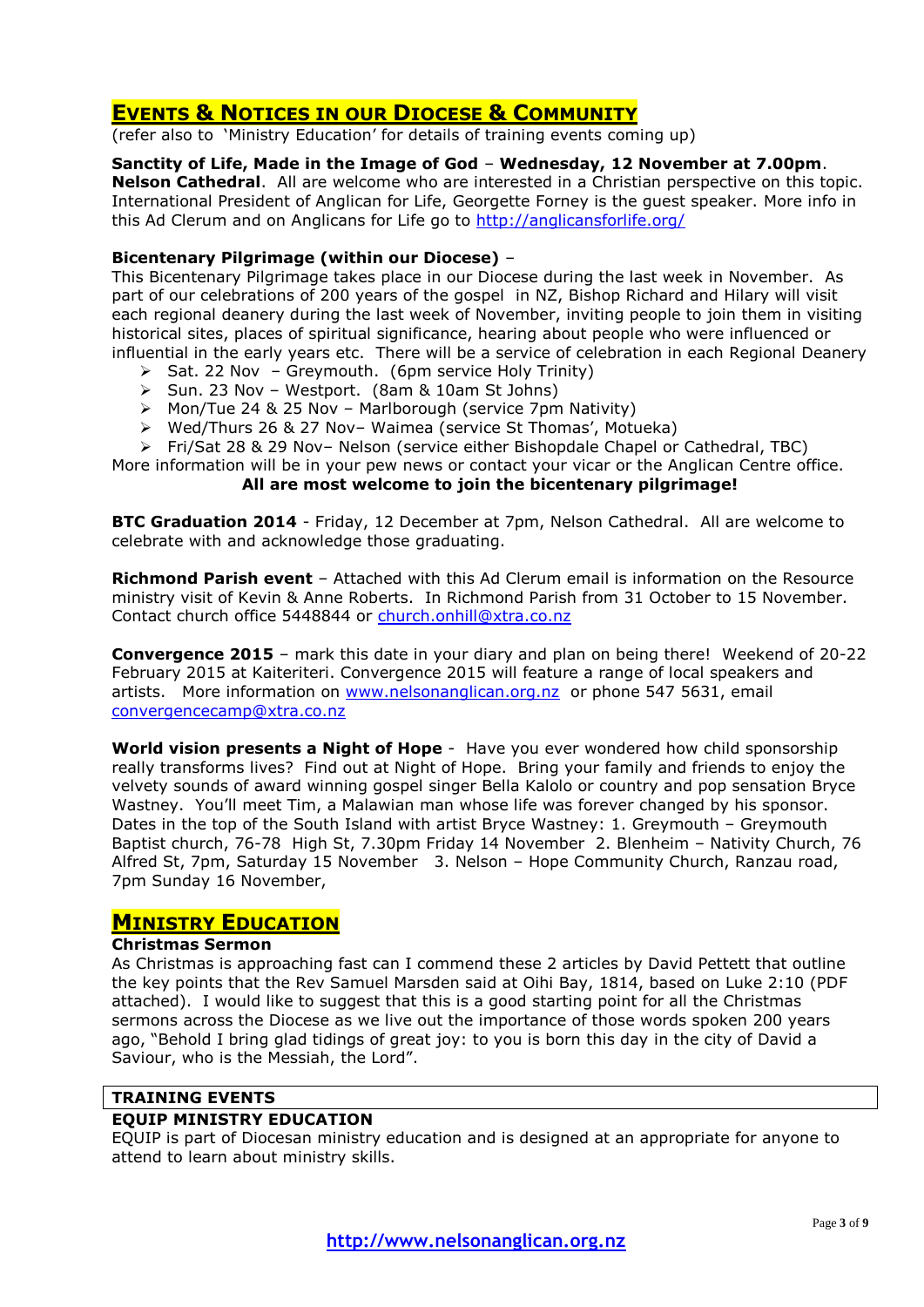## **EVENTS & NOTICES IN OUR DIOCESE & COMMUNITY**

(refer also to 'Ministry Education' for details of training events coming up)

**Sanctity of Life, Made in the Image of God** – **Wednesday, 12 November at 7.00pm**. **Nelson Cathedral**. All are welcome who are interested in a Christian perspective on this topic. International President of Anglican for Life, Georgette Forney is the guest speaker. More info in this Ad Clerum and on Anglicans for Life go to<http://anglicansforlife.org/>

## **Bicentenary Pilgrimage (within our Diocese)** –

This Bicentenary Pilgrimage takes place in our Diocese during the last week in November. As part of our celebrations of 200 years of the gospel in NZ, Bishop Richard and Hilary will visit each regional deanery during the last week of November, inviting people to join them in visiting historical sites, places of spiritual significance, hearing about people who were influenced or influential in the early years etc. There will be a service of celebration in each Regional Deanery

- $\triangleright$  Sat. 22 Nov Greymouth. (6pm service Holy Trinity)
- $\triangleright$  Sun. 23 Nov Westport. (8am & 10am St Johns)
- > Mon/Tue 24 & 25 Nov Marlborough (service 7pm Nativity)
- Wed/Thurs 26 & 27 Nov– Waimea (service St Thomas', Motueka)
- Fri/Sat 28 & 29 Nov– Nelson (service either Bishopdale Chapel or Cathedral, TBC)

More information will be in your pew news or contact your vicar or the Anglican Centre office. **All are most welcome to join the bicentenary pilgrimage!**

**BTC Graduation 2014** - Friday, 12 December at 7pm, Nelson Cathedral. All are welcome to celebrate with and acknowledge those graduating.

**Richmond Parish event** – Attached with this Ad Clerum email is information on the Resource ministry visit of Kevin & Anne Roberts. In Richmond Parish from 31 October to 15 November. Contact church office 5448844 or [church.onhill@xtra.co.nz](mailto:church.onhill@xtra.co.nz)

**Convergence 2015** – mark this date in your diary and plan on being there! Weekend of 20-22 February 2015 at Kaiteriteri. Convergence 2015 will feature a range of local speakers and artists. More information on [www.nelsonanglican.org.nz](http://www.nelsonanglican.org.nz/) or phone 547 5631, email [convergencecamp@xtra.co.nz](mailto:convergencecamp@xtra.co.nz)

**World vision presents a Night of Hope** - Have you ever wondered how child sponsorship really transforms lives? Find out at Night of Hope. Bring your family and friends to enjoy the velvety sounds of award winning gospel singer Bella Kalolo or country and pop sensation Bryce Wastney. You'll meet Tim, a Malawian man whose life was forever changed by his sponsor. Dates in the top of the South Island with artist Bryce Wastney: 1. Greymouth – Greymouth Baptist church, 76-78 High St, 7.30pm Friday 14 November 2. Blenheim – Nativity Church, 76 Alfred St, 7pm, Saturday 15 November 3. Nelson – Hope Community Church, Ranzau road, 7pm Sunday 16 November,

## **MINISTRY EDUCATION**

#### **Christmas Sermon**

As Christmas is approaching fast can I commend these 2 articles by David Pettett that outline the key points that the Rev Samuel Marsden said at Oihi Bay, 1814, based on Luke 2:10 (PDF attached). I would like to suggest that this is a good starting point for all the Christmas sermons across the Diocese as we live out the importance of those words spoken 200 years ago, "Behold I bring glad tidings of great joy: to you is born this day in the city of David a Saviour, who is the Messiah, the Lord".

## **TRAINING EVENTS**

### **EQUIP MINISTRY EDUCATION**

EQUIP is part of Diocesan ministry education and is designed at an appropriate for anyone to attend to learn about ministry skills.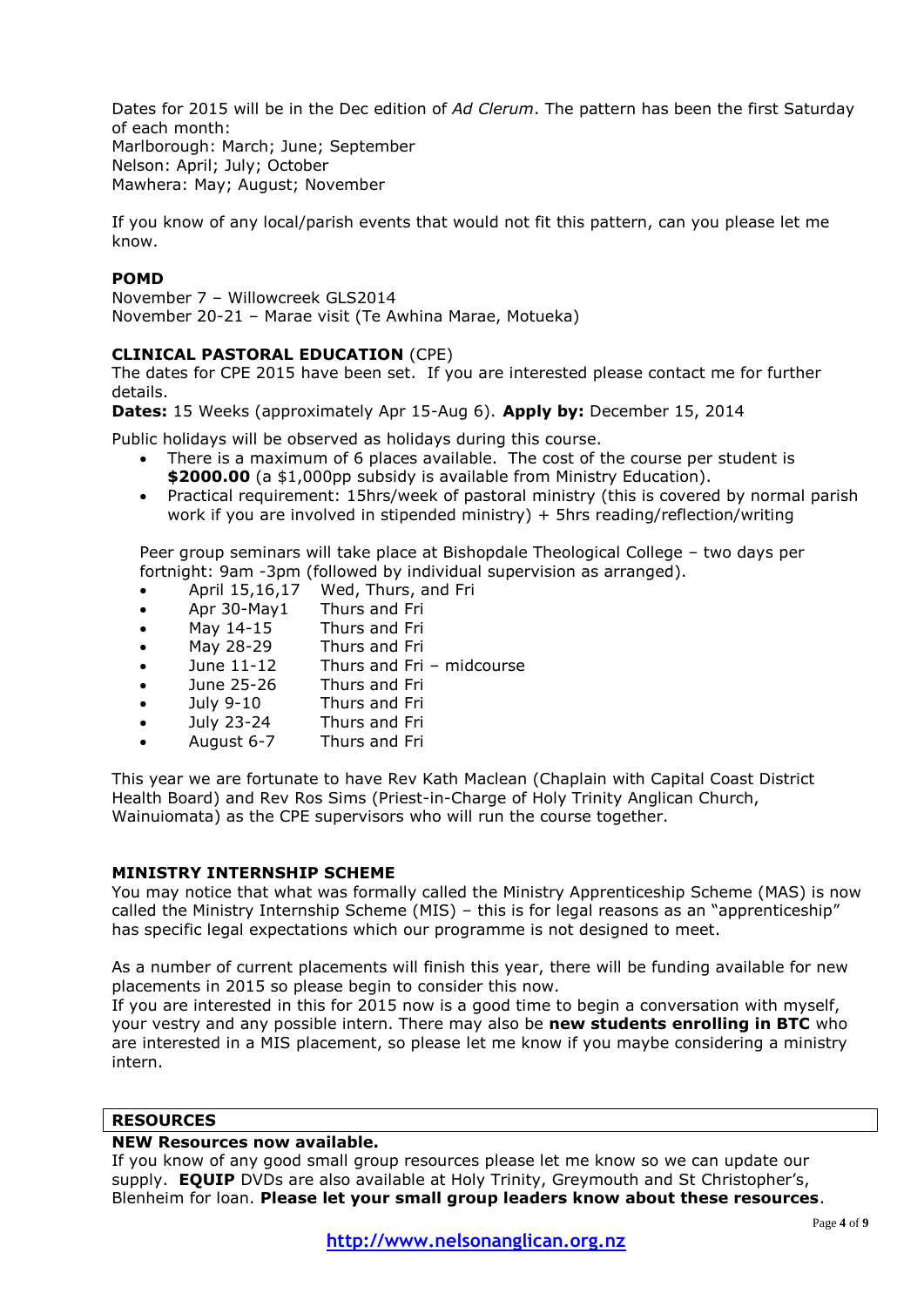Dates for 2015 will be in the Dec edition of *Ad Clerum*. The pattern has been the first Saturday of each month: Marlborough: March; June; September

Nelson: April; July; October Mawhera: May; August; November

If you know of any local/parish events that would not fit this pattern, can you please let me know.

## **POMD**

November 7 – Willowcreek GLS2014 November 20-21 – Marae visit (Te Awhina Marae, Motueka)

## **CLINICAL PASTORAL EDUCATION** (CPE)

The dates for CPE 2015 have been set. If you are interested please contact me for further details.

**Dates:** 15 Weeks (approximately Apr 15-Aug 6). **Apply by:** December 15, 2014

Public holidays will be observed as holidays during this course.

- There is a maximum of 6 places available. The cost of the course per student is \$2000.00 (a \$1,000pp subsidy is available from Ministry Education).
- Practical requirement: 15hrs/week of pastoral ministry (this is covered by normal parish work if you are involved in stipended ministry) + 5hrs reading/reflection/writing

Peer group seminars will take place at Bishopdale Theological College – two days per fortnight: 9am -3pm (followed by individual supervision as arranged).

- April 15,16,17 Wed, Thurs, and Fri
- Apr 30-May1 Thurs and Fri
- May 14-15 Thurs and Fri
- May 28-29 Thurs and Fri
- June 11-12 Thurs and Fri midcourse
- June 25-26 Thurs and Fri
- July 9-10 Thurs and Fri
- July 23-24 Thurs and Fri
- August 6-7 Thurs and Fri

This year we are fortunate to have Rev Kath Maclean (Chaplain with Capital Coast District Health Board) and Rev Ros Sims (Priest-in-Charge of Holy Trinity Anglican Church, Wainuiomata) as the CPE supervisors who will run the course together.

### **MINISTRY INTERNSHIP SCHEME**

You may notice that what was formally called the Ministry Apprenticeship Scheme (MAS) is now called the Ministry Internship Scheme (MIS) – this is for legal reasons as an "apprenticeship" has specific legal expectations which our programme is not designed to meet.

As a number of current placements will finish this year, there will be funding available for new placements in 2015 so please begin to consider this now.

If you are interested in this for 2015 now is a good time to begin a conversation with myself, your vestry and any possible intern. There may also be **new students enrolling in BTC** who are interested in a MIS placement, so please let me know if you maybe considering a ministry intern.

### **RESOURCES**

### **NEW Resources now available.**

If you know of any good small group resources please let me know so we can update our supply. **EQUIP** DVDs are also available at Holy Trinity, Greymouth and St Christopher's, Blenheim for loan. **Please let your small group leaders know about these resources**.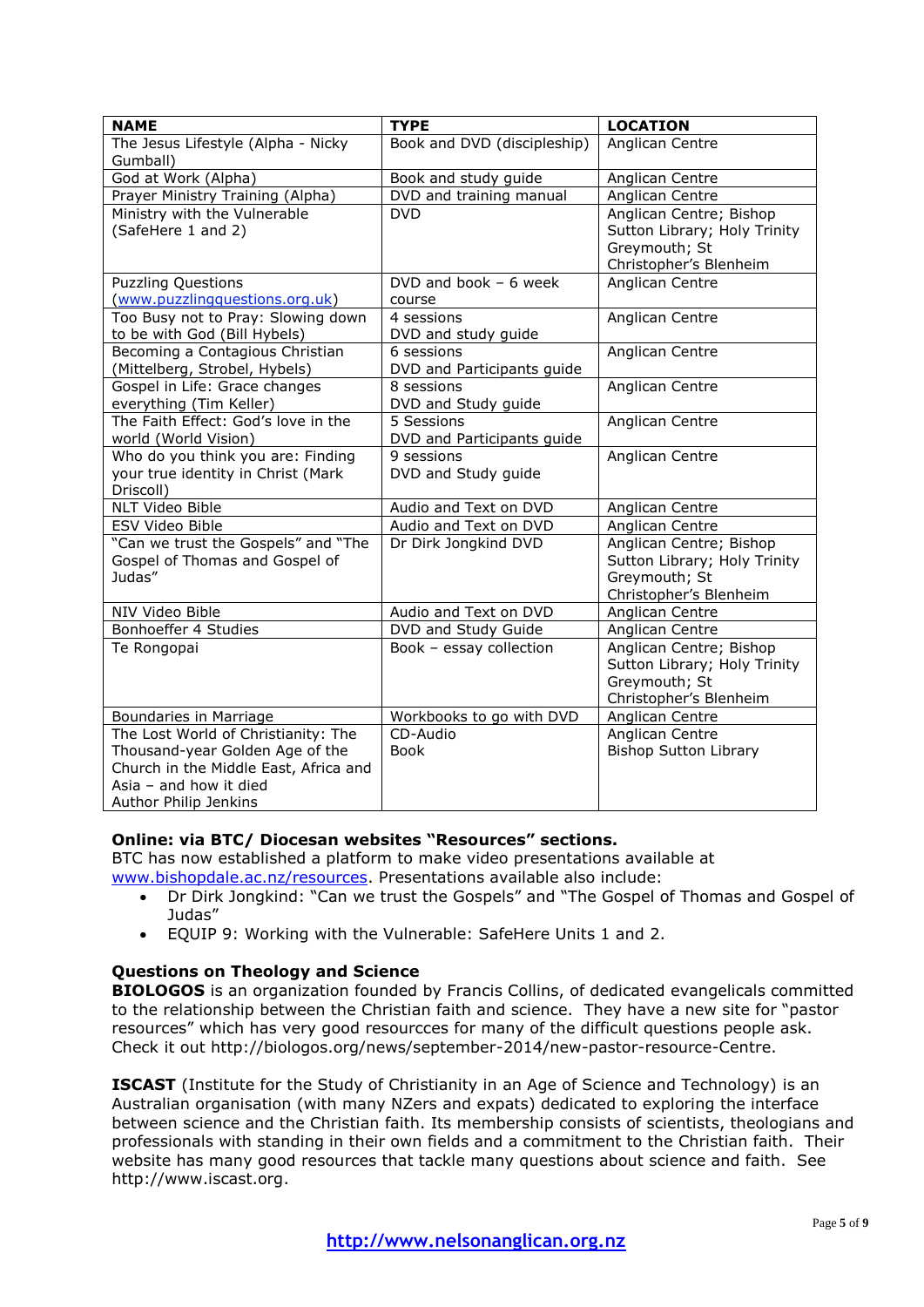| <b>NAME</b>                                                                                                                                                          | <b>TYPE</b>                              | <b>LOCATION</b>                                                                                    |
|----------------------------------------------------------------------------------------------------------------------------------------------------------------------|------------------------------------------|----------------------------------------------------------------------------------------------------|
| The Jesus Lifestyle (Alpha - Nicky<br>Gumball)                                                                                                                       | Book and DVD (discipleship)              | Anglican Centre                                                                                    |
| God at Work (Alpha)                                                                                                                                                  | Book and study guide                     | Anglican Centre                                                                                    |
| Prayer Ministry Training (Alpha)                                                                                                                                     | DVD and training manual                  | Anglican Centre                                                                                    |
| Ministry with the Vulnerable<br>(SafeHere 1 and 2)                                                                                                                   | <b>DVD</b>                               | Anglican Centre; Bishop<br>Sutton Library; Holy Trinity<br>Greymouth; St<br>Christopher's Blenheim |
| <b>Puzzling Questions</b><br>(www.puzzlingquestions.org.uk)                                                                                                          | DVD and book $-6$ week<br>course         | Anglican Centre                                                                                    |
| Too Busy not to Pray: Slowing down<br>to be with God (Bill Hybels)                                                                                                   | 4 sessions<br>DVD and study guide        | Anglican Centre                                                                                    |
| Becoming a Contagious Christian<br>(Mittelberg, Strobel, Hybels)                                                                                                     | 6 sessions<br>DVD and Participants guide | Anglican Centre                                                                                    |
| Gospel in Life: Grace changes<br>everything (Tim Keller)                                                                                                             | 8 sessions<br>DVD and Study guide        | Anglican Centre                                                                                    |
| The Faith Effect: God's love in the<br>world (World Vision)                                                                                                          | 5 Sessions<br>DVD and Participants guide | Anglican Centre                                                                                    |
| Who do you think you are: Finding<br>your true identity in Christ (Mark<br>Driscoll)                                                                                 | 9 sessions<br>DVD and Study guide        | Anglican Centre                                                                                    |
| NLT Video Bible                                                                                                                                                      | Audio and Text on DVD                    | Anglican Centre                                                                                    |
| ESV Video Bible                                                                                                                                                      | Audio and Text on DVD                    | Anglican Centre                                                                                    |
| "Can we trust the Gospels" and "The<br>Gospel of Thomas and Gospel of<br>Judas"                                                                                      | Dr Dirk Jongkind DVD                     | Anglican Centre; Bishop<br>Sutton Library; Holy Trinity<br>Greymouth; St<br>Christopher's Blenheim |
| NIV Video Bible                                                                                                                                                      | Audio and Text on DVD                    | Anglican Centre                                                                                    |
| Bonhoeffer 4 Studies                                                                                                                                                 | DVD and Study Guide                      | Anglican Centre                                                                                    |
| Te Rongopai                                                                                                                                                          | Book - essay collection                  | Anglican Centre; Bishop<br>Sutton Library; Holy Trinity<br>Greymouth; St<br>Christopher's Blenheim |
| Boundaries in Marriage                                                                                                                                               | Workbooks to go with DVD                 | Anglican Centre                                                                                    |
| The Lost World of Christianity: The<br>Thousand-year Golden Age of the<br>Church in the Middle East, Africa and<br>Asia $-$ and how it died<br>Author Philip Jenkins | CD-Audio<br><b>Book</b>                  | Anglican Centre<br><b>Bishop Sutton Library</b>                                                    |

## **Online: via BTC/ Diocesan websites "Resources" sections.**

BTC has now established a platform to make video presentations available at [www.bishopdale.ac.nz/resources.](http://www.bishopdale.ac.nz/resources) Presentations available also include:

- Dr Dirk Jongkind: "Can we trust the Gospels" and "The Gospel of Thomas and Gospel of Judas"
- EQUIP 9: Working with the Vulnerable: SafeHere Units 1 and 2.

## **Questions on Theology and Science**

**BIOLOGOS** is an organization founded by Francis Collins, of dedicated evangelicals committed to the relationship between the Christian faith and science. They have a new site for "pastor resources" which has very good resourcces for many of the difficult questions people ask. Check it out http://biologos.org/news/september-2014/new-pastor-resource-Centre.

**ISCAST** (Institute for the Study of Christianity in an Age of Science and Technology) is an Australian organisation (with many NZers and expats) dedicated to exploring the interface between science and the Christian faith. Its membership consists of scientists, theologians and professionals with standing in their own fields and a commitment to the Christian faith. Their website has many good resources that tackle many questions about science and faith. See http://www.iscast.org.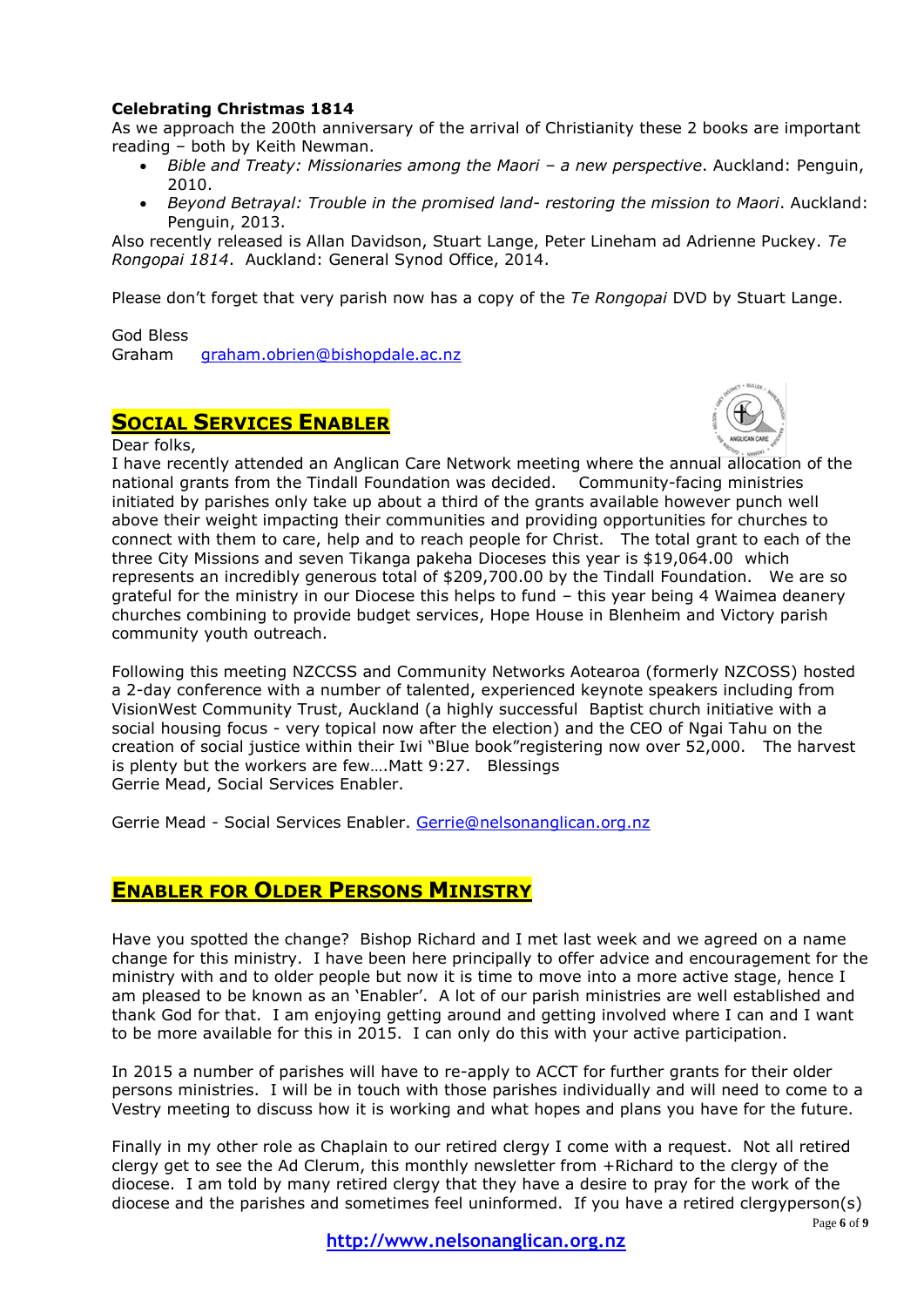## **Celebrating Christmas 1814**

As we approach the 200th anniversary of the arrival of Christianity these 2 books are important reading – both by Keith Newman.

- *Bible and Treaty: Missionaries among the Maori – a new perspective*. Auckland: Penguin, 2010.
- *Beyond Betrayal: Trouble in the promised land- restoring the mission to Maori*. Auckland: Penguin, 2013.

Also recently released is Allan Davidson, Stuart Lange, Peter Lineham ad Adrienne Puckey. *Te Rongopai 1814*. Auckland: General Synod Office, 2014.

Please don't forget that very parish now has a copy of the *Te Rongopai* DVD by Stuart Lange.

God Bless

Graham [graham.obrien@bishopdale.ac.nz](mailto:graham.obrien@bishopdale.ac.nz)

## **SOCIAL SERVICES ENABLER**

Dear folks,



I have recently attended an Anglican Care Network meeting where the annual allocation of the national grants from the Tindall Foundation was decided. Community-facing ministries initiated by parishes only take up about a third of the grants available however punch well above their weight impacting their communities and providing opportunities for churches to connect with them to care, help and to reach people for Christ. The total grant to each of the three City Missions and seven Tikanga pakeha Dioceses this year is \$19,064.00 which represents an incredibly generous total of \$209,700.00 by the Tindall Foundation. We are so grateful for the ministry in our Diocese this helps to fund – this year being 4 Waimea deanery churches combining to provide budget services, Hope House in Blenheim and Victory parish community youth outreach.

Following this meeting NZCCSS and Community Networks Aotearoa (formerly NZCOSS) hosted a 2-day conference with a number of talented, experienced keynote speakers including from VisionWest Community Trust, Auckland (a highly successful Baptist church initiative with a social housing focus - very topical now after the election) and the CEO of Ngai Tahu on the creation of social justice within their Iwi "Blue book"registering now over 52,000. The harvest is plenty but the workers are few….Matt 9:27. Blessings Gerrie Mead, Social Services Enabler.

Gerrie Mead - Social Services Enabler. [Gerrie@nelsonanglican.org.nz](mailto:Gerrie@nelsonanglican.org.nz)

## **ENABLER FOR OLDER PERSONS MINISTRY**

Have you spotted the change? Bishop Richard and I met last week and we agreed on a name change for this ministry. I have been here principally to offer advice and encouragement for the ministry with and to older people but now it is time to move into a more active stage, hence I am pleased to be known as an 'Enabler'. A lot of our parish ministries are well established and thank God for that. I am enjoying getting around and getting involved where I can and I want to be more available for this in 2015. I can only do this with your active participation.

In 2015 a number of parishes will have to re-apply to ACCT for further grants for their older persons ministries. I will be in touch with those parishes individually and will need to come to a Vestry meeting to discuss how it is working and what hopes and plans you have for the future.

Finally in my other role as Chaplain to our retired clergy I come with a request. Not all retired clergy get to see the Ad Clerum, this monthly newsletter from +Richard to the clergy of the diocese. I am told by many retired clergy that they have a desire to pray for the work of the diocese and the parishes and sometimes feel uninformed. If you have a retired clergyperson(s)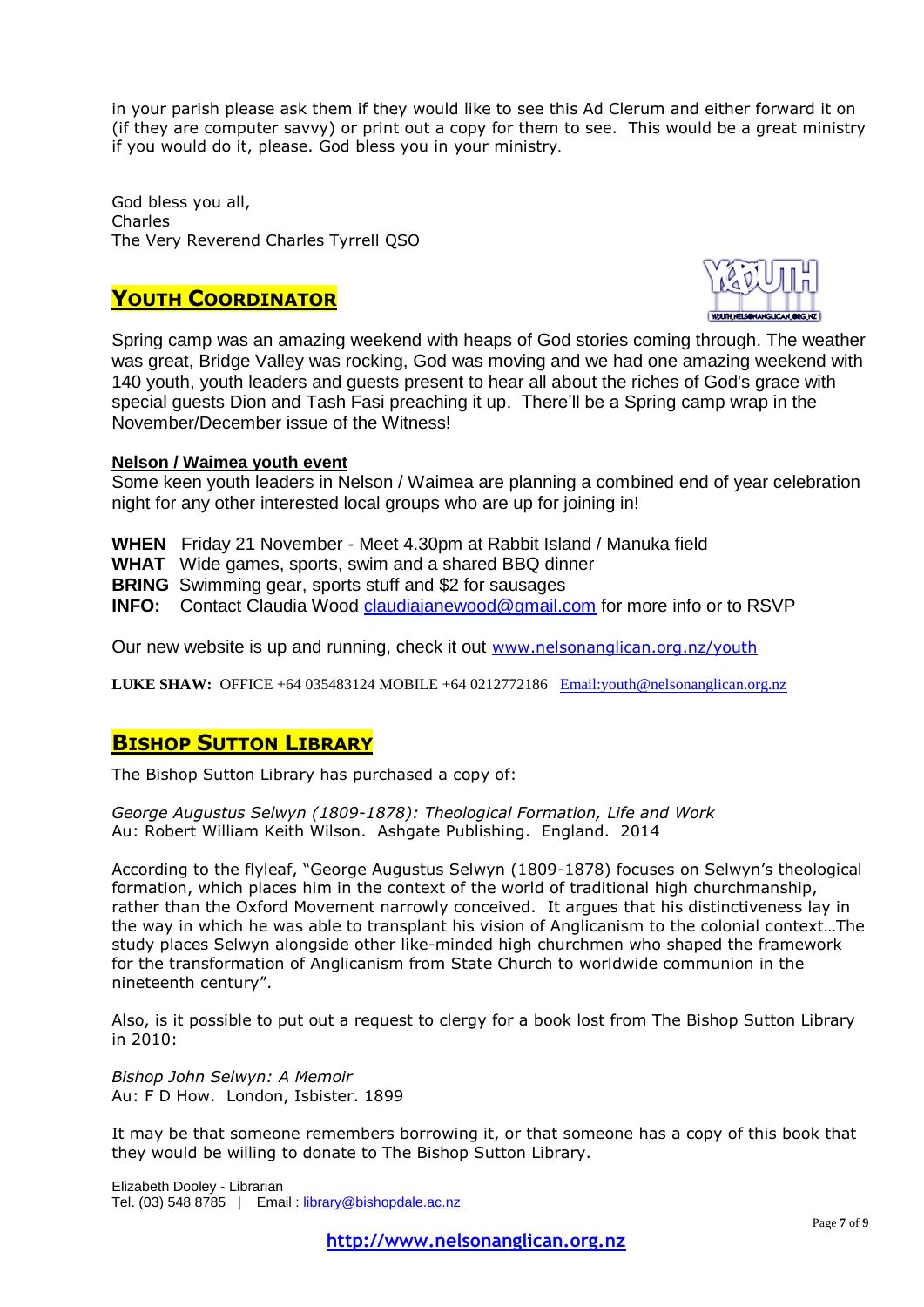in your parish please ask them if they would like to see this Ad Clerum and either forward it on (if they are computer savvy) or print out a copy for them to see. This would be a great ministry if you would do it, please. God bless you in your ministry.

God bless you all, Charles The Very Reverend Charles Tyrrell QSO

## **YOUTH COORDINATOR**



Spring camp was an amazing weekend with heaps of God stories coming through. The weather was great, Bridge Valley was rocking, God was moving and we had one amazing weekend with 140 youth, youth leaders and guests present to hear all about the riches of God's grace with special guests Dion and Tash Fasi preaching it up. There'll be a Spring camp wrap in the November/December issue of the Witness!

## **Nelson / Waimea youth event**

Some keen youth leaders in Nelson / Waimea are planning a combined end of year celebration night for any other interested local groups who are up for joining in!

**WHEN** Friday 21 November - Meet 4.30pm at Rabbit Island / Manuka field

**WHAT** Wide games, sports, swim and a shared BBQ dinner

**BRING** Swimming gear, sports stuff and \$2 for sausages

**INFO:** Contact Claudia Wood [claudiajanewood@gmail.com](mailto:claudiajanewood@gmail.com) for more info or to RSVP

Our new website is up and running, check it out [www.nelsonanglican.org.nz/youth](http://www.nelsonanglican.org.nz/youth)

LUKE SHAW: OFFICE +64 035483124 MOBILE +64 0212772186 Email: youth @nelsonanglican.org.nz

## **BISHOP SUTTON LIBRARY**

The Bishop Sutton Library has purchased a copy of:

*George Augustus Selwyn (1809-1878): Theological Formation, Life and Work* Au: Robert William Keith Wilson. Ashgate Publishing. England. 2014

According to the flyleaf, "George Augustus Selwyn (1809-1878) focuses on Selwyn's theological formation, which places him in the context of the world of traditional high churchmanship, rather than the Oxford Movement narrowly conceived. It argues that his distinctiveness lay in the way in which he was able to transplant his vision of Anglicanism to the colonial context…The study places Selwyn alongside other like-minded high churchmen who shaped the framework for the transformation of Anglicanism from State Church to worldwide communion in the nineteenth century".

Also, is it possible to put out a request to clergy for a book lost from The Bishop Sutton Library in 2010:

*Bishop John Selwyn: A Memoir* Au: F D How. London, Isbister. 1899

It may be that someone remembers borrowing it, or that someone has a copy of this book that they would be willing to donate to The Bishop Sutton Library.

Elizabeth Dooley - Librarian Tel. (03) 548 8785 | Email : [library@bishopdale.ac.nz](mailto:library@bishopdale.ac.nz)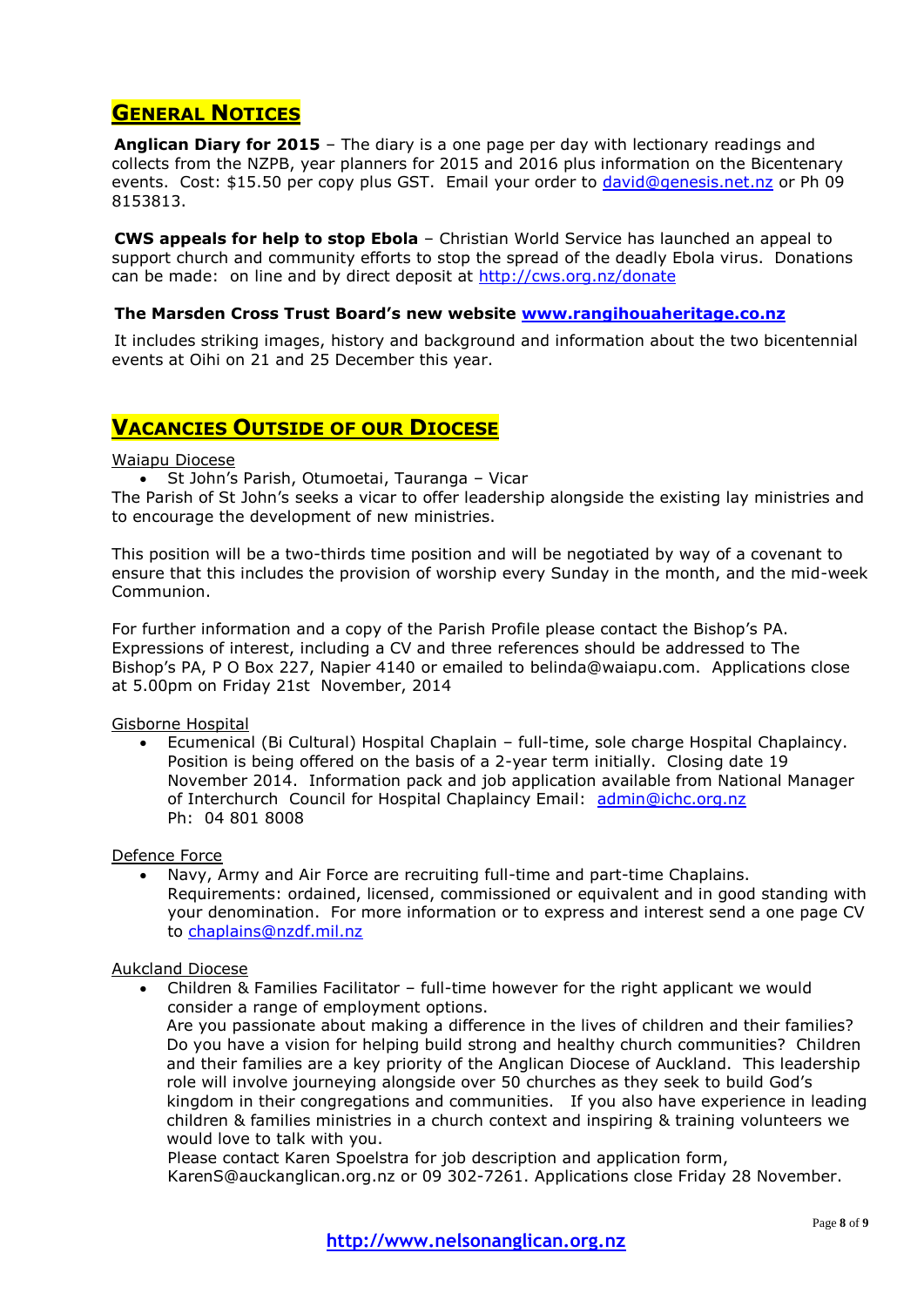## **GENERAL NOTICES**

**Anglican Diary for 2015** – The diary is a one page per day with lectionary readings and collects from the NZPB, year planners for 2015 and 2016 plus information on the Bicentenary events. Cost: \$15.50 per copy plus GST. Email your order to [david@genesis.net.nz](mailto:david@genesis.net.nz) or Ph 09 8153813.

**CWS appeals for help to stop Ebola** – Christian World Service has launched an appeal to support church and community efforts to stop the spread of the deadly Ebola virus. Donations can be made: on line and by direct deposit at<http://cws.org.nz/donate>

### **The Marsden Cross Trust Board's new website [www.rangihouaheritage.co.nz](http://www.rangihouaheritage.co.nz/)**

It includes striking images, history and background and information about the two bicentennial events at Oihi on 21 and 25 December this year.

## **VACANCIES OUTSIDE OF OUR DIOCESE**

#### Waiapu Diocese

St John's Parish, Otumoetai, Tauranga – Vicar

The Parish of St John's seeks a vicar to offer leadership alongside the existing lay ministries and to encourage the development of new ministries.

This position will be a two-thirds time position and will be negotiated by way of a covenant to ensure that this includes the provision of worship every Sunday in the month, and the mid-week Communion.

For further information and a copy of the Parish Profile please contact the Bishop's PA. Expressions of interest, including a CV and three references should be addressed to The Bishop's PA, P O Box 227, Napier 4140 or emailed to [belinda@waiapu.com.](mailto:belinda@waiapu.com) Applications close at 5.00pm on Friday 21st November, 2014

Gisborne Hospital

 Ecumenical (Bi Cultural) Hospital Chaplain – full-time, sole charge Hospital Chaplaincy. Position is being offered on the basis of a 2-year term initially. Closing date 19 November 2014. Information pack and job application available from National Manager of Interchurch Council for Hospital Chaplaincy Email: [admin@ichc.org.nz](mailto:admin@ichc.org.nz) Ph: 04 801 8008

### Defence Force

 Navy, Army and Air Force are recruiting full-time and part-time Chaplains. Requirements: ordained, licensed, commissioned or equivalent and in good standing with your denomination. For more information or to express and interest send a one page CV to [chaplains@nzdf.mil.nz](mailto:chaplains@nzdf.mil.nz)

### Aukcland Diocese

 Children & Families Facilitator – full-time however for the right applicant we would consider a range of employment options. Are you passionate about making a difference in the lives of children and their families?

Do you have a vision for helping build strong and healthy church communities? Children and their families are a key priority of the Anglican Diocese of Auckland. This leadership role will involve journeying alongside over 50 churches as they seek to build God's kingdom in their congregations and communities. If you also have experience in leading children & families ministries in a church context and inspiring & training volunteers we would love to talk with you.

Please contact Karen Spoelstra for job description and application form, [KarenS@auckanglican.org.nz](mailto:KarenS@auckanglican.org.nz) or 09 302-7261. Applications close Friday 28 November.